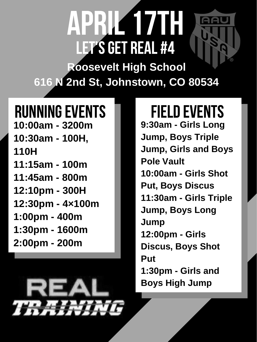**9:30am - Girls Long Jump, Boys Triple Jump, Girls and Boys Pole Vault 10:00am - Girls Shot**

**10:00am - 3200m 10:30am - 100H, 110H 11:15am - 100m** RUNNING EVENTS FIELD EVENTS

> **Put, Boys Discus 11:30am - Girls Triple Jump, Boys Long Jump 12:00pm - Girls Discus, Boys Shot Put 1:30pm - Girls and Boys High Jump**

### April17th LET'S GET REAL#4 **Roosevelt High School 616 N 2nd St, Johnstown, CO 80534**

**11:45am - 800m 12:10pm - 300H 12:30pm - 4×100m 1:00pm - 400m 1:30pm - 1600m 2:00pm - 200m**

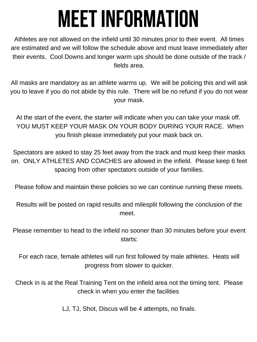## **MEETINFORMATION**

Athletes are not allowed on the infield until 30 minutes prior to their event. All times are estimated and we will follow the schedule above and must leave immediately after their events. Cool Downs and longer warm ups should be done outside of the track / fields area.

All masks are mandatory as an athlete warms up. We will be policing this and will ask you to leave if you do not abide by this rule. There will be no refund if you do not wear your mask.

At the start of the event, the starter will indicate when you can take your mask off. YOU MUST KEEP YOUR MASK ON YOUR BODY DURING YOUR RACE. When you finish please immediately put your mask back on.

Spectators are asked to stay 25 feet away from the track and must keep their masks on. ONLY ATHLETES AND COACHES are allowed in the infield. Please keep 6 feet spacing from other spectators outside of your families.

Please follow and maintain these policies so we can continue running these meets.

#### Results will be posted on rapid results and milesplit following the conclusion of the meet.

Please remember to head to the infield no sooner than 30 minutes before your event starts:

For each race, female athletes will run first followed by male athletes. Heats will progress from slower to quicker.

Check in is at the Real Training Tent on the infield area not the timing tent. Please check in when you enter the facilities

LJ, TJ, Shot, Discus will be 4 attempts, no finals.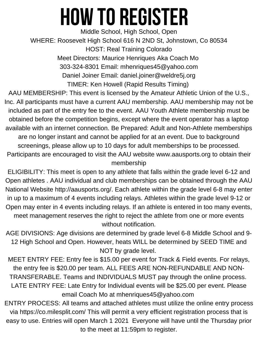Middle School, High School, Open WHERE: Roosevelt High School 616 N 2ND St, Johnstown, Co 80534 HOST: Real Training Colorado Meet Directors: Maurice Henriques Aka Coach Mo 303-324-8301 Email: mhenriques45@yahoo.com Daniel Joiner Email: daniel.joiner@weldre5j.org TIMER: Ken Howell (Rapid Results Timing)

AAU MEMBERSHIP: This event is licensed by the Amateur Athletic Union of the U.S., Inc. All participants must have a current AAU membership. AAU membership may not be included as part of the entry fee to the event. AAU Youth Athlete membership must be obtained before the competition begins, except where the event operator has a laptop available with an internet connection. Be Prepared: Adult and Non-Athlete memberships are no longer instant and cannot be applied for at an event. Due to background screenings, please allow up to 10 days for adult memberships to be processed. Participants are encouraged to visit the AAU website www.aausports.org to obtain their membership

ELIGIBILITY: This meet is open to any athlete that falls within the grade level 6-12 and

Open athletes . AAU individual and club memberships can be obtained through the AAU National Website http://aausports.org/. Each athlete within the grade level 6-8 may enter in up to a maximum of 4 events including relays. Athletes within the grade level 9-12 or Open may enter in 4 events including relays. If an athlete is entered in too many events, meet management reserves the right to reject the athlete from one or more events without notification.

AGE DIVISIONS: Age divisions are determined by grade level 6-8 Middle School and 9- 12 High School and Open. However, heats WILL be determined by SEED TIME and NOT by grade level.

MEET ENTRY FEE: Entry fee is \$15.00 per event for Track & Field events. For relays, the entry fee is \$20.00 per team. ALL FEES ARE NON-REFUNDABLE AND NON-TRANSFERABLE. Teams and INDIVIDUALS MUST pay through the online process. LATE ENTRY FEE: Late Entry for Individual events will be \$25.00 per event. Please email Coach Mo at mhenriques45@yahoo.com

ENTRY PROCESS: All teams and attached athletes must utilize the online entry process via https://co.milesplit.com/ This will permit a very efficient registration process that is easy to use. Entries will open March 1 2021 Everyone will have until the Thursday prior to the meet at 11:59pm to register.

## **how to register**